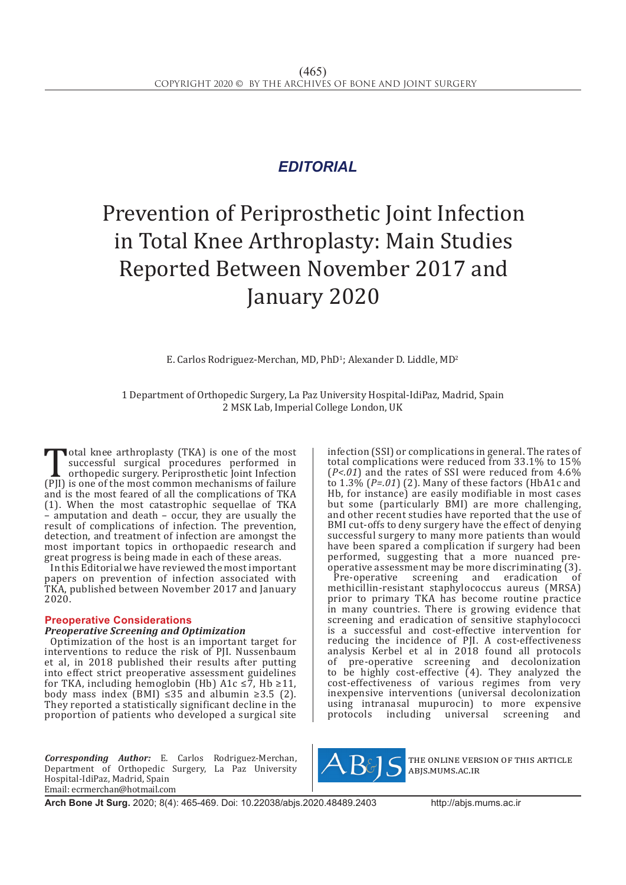# *EDITORIAL*

# Prevention of Periprosthetic Joint Infection in Total Knee Arthroplasty: Main Studies Reported Between November 2017 and January 2020

E. Carlos Rodriguez-Merchan, MD, PhD<sup>1</sup>; Alexander D. Liddle, MD<sup>2</sup>

1 Department of Orthopedic Surgery, La Paz University Hospital-IdiPaz, Madrid, Spain 2 MSK Lab, Imperial College London, UK

Total knee arthroplasty (TKA) is one of the most<br>successful surgical procedures performed in<br>orthopedic surgery. Periprosthetic Joint Infection<br>(PJI) is one of the most common mechanisms of failure<br>and is the most feared o successful surgical procedures performed in orthopedic surgery. Periprosthetic Joint Infection and is the most feared of all the complications of TKA (1). When the most catastrophic sequellae of TKA – amputation and death – occur, they are usually the result of complications of infection. The prevention, detection, and treatment of infection are amongst the most important topics in orthopaedic research and great progress is being made in each of these areas.

In this Editorial we have reviewed the most important papers on prevention of infection associated with TKA, published between November 2017 and January 2020.

# **Preoperative Considerations**

#### *Preoperative Screening and Optimization*

Optimization of the host is an important target for interventions to reduce the risk of PJI. Nussenbaum et al, in 2018 published their results after putting into effect strict preoperative assessment guidelines for TKA, including hemoglobin (Hb) A1c  $\leq 7$ , Hb  $\geq 11$ , body mass index (BMI) ≤35 and albumin ≥3.5 (2). They reported a statistically significant decline in the proportion of patients who developed a surgical site

*Corresponding Author:* E. Carlos Rodriguez-Merchan, Department of Orthopedic Surgery, La Paz University Hospital-IdiPaz, Madrid, Spain Email: ecrmerchan@hotmail.com

infection (SSI) or complications in general. The rates of total complications were reduced from 33.1% to 15% (*P<.01*) and the rates of SSI were reduced from 4.6% to 1.3% (*P=.01*) (2). Many of these factors (HbA1c and Hb, for instance) are easily modifiable in most cases but some (particularly BMI) are more challenging, and other recent studies have reported that the use of BMI cut-offs to deny surgery have the effect of denying successful surgery to many more patients than would have been spared a complication if surgery had been performed, suggesting that a more nuanced preoperative assessment may be more discriminating (3).

Pre-operative screening and eradication methicillin-resistant staphylococcus aureus (MRSA) prior to primary TKA has become routine practice in many countries. There is growing evidence that screening and eradication of sensitive staphylococci is a successful and cost-effective intervention for reducing the incidence of PJI. A cost-effectiveness analysis Kerbel et al in 2018 found all protocols of pre-operative screening and decolonization to be highly cost-effective (4). They analyzed the cost-effectiveness of various regimes from very inexpensive interventions (universal decolonization using intranasal mupurocin) to more expensive<br>protocols including universal screening and universal



the online version of this article abjs.mums.ac.ir

**Arch Bone Jt Surg.** 2020; 8(4): 465-469. Doi: 10.22038/abjs.2020.48489.2403http://abjs.mums.ac.ir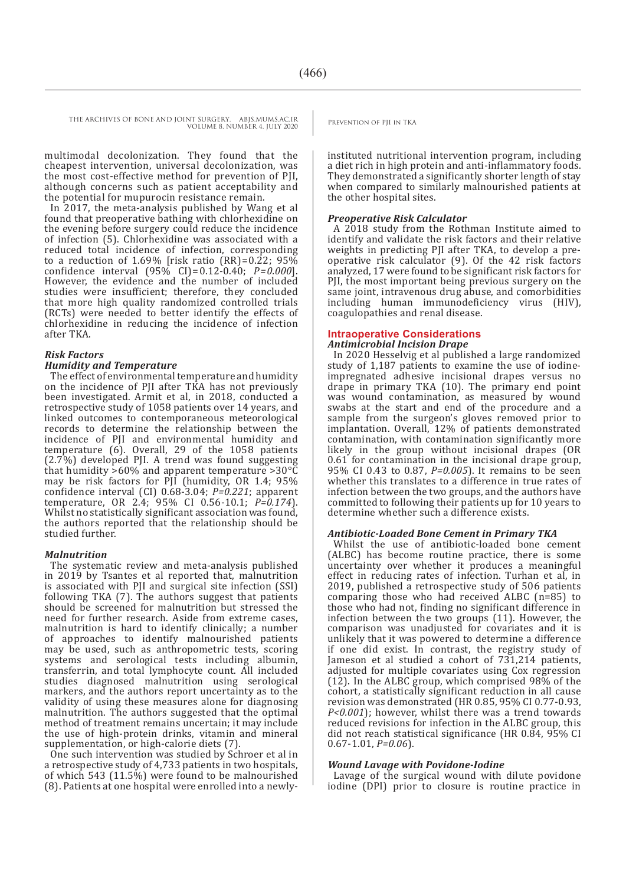THE ARCHIVES OF BONE AND JOINT SURGERY. ABJS.MUMS.AC.IR PREVENTION OF PIL IN TKA VOLUME 8. NUMBER 4. JULY 2020

multimodal decolonization. They found that the cheapest intervention, universal decolonization, was the most cost-effective method for prevention of PJI, although concerns such as patient acceptability and the potential for mupurocin resistance remain.

In 2017, the meta-analysis published by Wang et al found that preoperative bathing with chlorhexidine on the evening before surgery could reduce the incidence of infection (5). Chlorhexidine was associated with a reduced total incidence of infection, corresponding to a reduction of 1.69% [risk ratio (RR)= $0.22$ ; 95% confidence interval (95% CI) = 0.12-0.40; *P = 0.000*]. However, the evidence and the number of included studies were insufficient; therefore, they concluded that more high quality randomized controlled trials (RCTs) were needed to better identify the effects of chlorhexidine in reducing the incidence of infection after TKA.

# *Risk Factors*

#### *Humidity and Temperature*

The effect of environmental temperature and humidity on the incidence of PII after TKA has not previously been investigated. Armit et al, in 2018, conducted a retrospective study of 1058 patients over 14 years, and linked outcomes to contemporaneous meteorological records to determine the relationship between the incidence of PJI and environmental humidity and temperature (6). Overall, 29 of the 1058 patients (2.7%) developed PJI. A trend was found suggesting that humidity >60% and apparent temperature >30°C may be risk factors for PJI (humidity, OR 1.4; 95% confidence interval (CI) 0.68-3.04; *P=0.221*; apparent temperature, OR 2.4; 95% CI 0.56-10.1; *P=0.174*). Whilst no statistically significant association was found, the authors reported that the relationship should be studied further.

#### *Malnutrition*

The systematic review and meta-analysis published in 2019 by Tsantes et al reported that, malnutrition is associated with PJI and surgical site infection (SSI) following TKA (7). The authors suggest that patients should be screened for malnutrition but stressed the need for further research. Aside from extreme cases, malnutrition is hard to identify clinically; a number of approaches to identify malnourished patients may be used, such as anthropometric tests, scoring systems and serological tests including albumin, transferrin, and total lymphocyte count. All included studies diagnosed malnutrition using serological markers, and the authors report uncertainty as to the validity of using these measures alone for diagnosing malnutrition. The authors suggested that the optimal method of treatment remains uncertain; it may include the use of high-protein drinks, vitamin and mineral supplementation, or high-calorie diets (7).

One such intervention was studied by Schroer et al in a retrospective study of 4,733 patients in two hospitals, of which 543 (11.5%) were found to be malnourished (8). Patients at one hospital were enrolled into a newly-

instituted nutritional intervention program, including a diet rich in high protein and anti-inflammatory foods. They demonstrated a significantly shorter length of stay when compared to similarly malnourished patients at the other hospital sites.

#### *Preoperative Risk Calculator*

A 2018 study from the Rothman Institute aimed to identify and validate the risk factors and their relative weights in predicting PJI after TKA, to develop a preoperative risk calculator (9). Of the 42 risk factors analyzed, 17 were found to be significant risk factors for PJI, the most important being previous surgery on the same joint, intravenous drug abuse, and comorbidities including human immunodeficiency virus (HIV), coagulopathies and renal disease.

# **Intraoperative Considerations**

# *Antimicrobial Incision Drape*

In 2020 Hesselvig et al published a large randomized study of 1,187 patients to examine the use of iodineimpregnated adhesive incisional drapes versus no drape in primary TKA (10). The primary end point was wound contamination, as measured by wound swabs at the start and end of the procedure and a sample from the surgeon's gloves removed prior to implantation. Overall, 12% of patients demonstrated contamination, with contamination significantly more likely in the group without incisional drapes (OR 0.61 for contamination in the incisional drape group, 95% CI 0.43 to 0.87, *P=0.005*). It remains to be seen whether this translates to a difference in true rates of infection between the two groups, and the authors have committed to following their patients up for 10 years to determine whether such a difference exists.

#### *Antibiotic-Loaded Bone Cement in Primary TKA*

Whilst the use of antibiotic-loaded bone cement (ALBC) has become routine practice, there is some uncertainty over whether it produces a meaningful effect in reducing rates of infection. Turhan et al, in 2019, published a retrospective study of 506 patients comparing those who had received ALBC (n=85) to those who had not, finding no significant difference in infection between the two groups (11). However, the comparison was unadjusted for covariates and it is unlikely that it was powered to determine a difference if one did exist. In contrast, the registry study of Jameson et al studied a cohort of 731,214 patients, adjusted for multiple covariates using Cox regression (12). In the ALBC group, which comprised 98% of the cohort, a statistically significant reduction in all cause revision was demonstrated (HR 0.85, 95% CI 0.77-0.93, *P<0.001*); however, whilst there was a trend towards reduced revisions for infection in the ALBC group, this did not reach statistical significance (HR 0.84, 95% CI 0.67-1.01, *P=0.06*).

#### *Wound Lavage with Povidone-Iodine*

Lavage of the surgical wound with dilute povidone iodine (DPI) prior to closure is routine practice in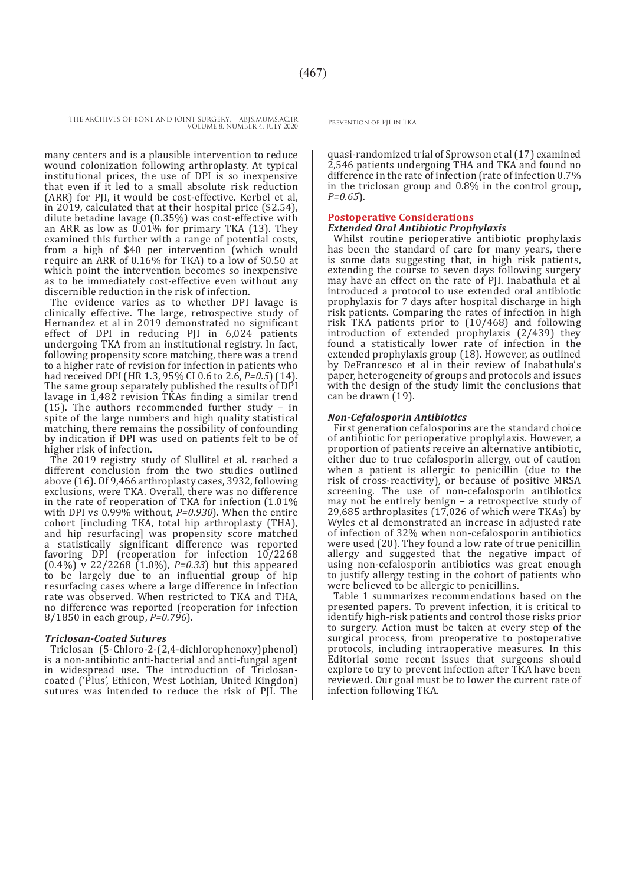THE ARCHIVES OF BONE AND JOINT SURGERY. ABJS.MUMS.AC.IR PREVENTION OF PII IN TKA VOLUME 8. NUMBER 4. JULY 2020

> many centers and is a plausible intervention to reduce wound colonization following arthroplasty. At typical institutional prices, the use of DPI is so inexpensive that even if it led to a small absolute risk reduction (ARR) for PJI, it would be cost-effective. Kerbel et al, in 2019, calculated that at their hospital price (\$2.54), dilute betadine lavage (0.35%) was cost-effective with an ARR as low as 0.01% for primary TKA (13). They examined this further with a range of potential costs, from a high of \$40 per intervention (which would require an ARR of 0.16% for TKA) to a low of \$0.50 at which point the intervention becomes so inexpensive as to be immediately cost-effective even without any discernible reduction in the risk of infection.

> The evidence varies as to whether DPI lavage is clinically effective. The large, retrospective study of Hernandez et al in 2019 demonstrated no significant effect of DPI in reducing PJI in 6,024 patients undergoing TKA from an institutional registry. In fact, following propensity score matching, there was a trend to a higher rate of revision for infection in patients who had received DPI (HR 1.3, 95% CI 0.6 to 2.6, *P=0.5*) (14). The same group separately published the results of DPI lavage in 1,482 revision TKAs finding a similar trend (15). The authors recommended further study – in spite of the large numbers and high quality statistical matching, there remains the possibility of confounding by indication if DPI was used on patients felt to be of higher risk of infection.

> The 2019 registry study of Slullitel et al. reached a different conclusion from the two studies outlined above (16). Of 9,466 arthroplasty cases, 3932, following exclusions, were TKA. Overall, there was no difference in the rate of reoperation of TKA for infection (1.01% with DPI vs 0.99% without, *P=0.930*). When the entire cohort [including TKA, total hip arthroplasty (THA), and hip resurfacing] was propensity score matched a statistically significant difference was reported favoring DPI (reoperation for infection 10/2268 (0.4%) v 22/2268 (1.0%), *P=0.33*) but this appeared to be largely due to an influential group of hip resurfacing cases where a large difference in infection rate was observed. When restricted to TKA and THA, no difference was reported (reoperation for infection 8/1850 in each group, *P=0.796*).

#### *Triclosan-Coated Sutures*

Triclosan (5-Chloro-2-(2,4-dichlorophenoxy)phenol) is a non-antibiotic anti-bacterial and anti-fungal agent in widespread use. The introduction of Triclosancoated ('Plus', Ethicon, West Lothian, United Kingdon) sutures was intended to reduce the risk of PJI. The

quasi-randomized trial of Sprowson et al (17) examined 2,546 patients undergoing THA and TKA and found no difference in the rate of infection (rate of infection 0.7% in the triclosan group and 0.8% in the control group, *P=0.65*).

# **Postoperative Considerations**

### *Extended Oral Antibiotic Prophylaxis*

Whilst routine perioperative antibiotic prophylaxis has been the standard of care for many years, there is some data suggesting that, in high risk patients, extending the course to seven days following surgery may have an effect on the rate of PJI. Inabathula et al introduced a protocol to use extended oral antibiotic prophylaxis for 7 days after hospital discharge in high risk patients. Comparing the rates of infection in high risk TKA patients prior to (10/468) and following introduction of extended prophylaxis (2/439) they found a statistically lower rate of infection in the extended prophylaxis group (18). However, as outlined by DeFrancesco et al in their review of Inabathula's paper, heterogeneity of groups and protocols and issues with the design of the study limit the conclusions that can be drawn (19).

# *Non-Cefalosporin Antibiotics*

First generation cefalosporins are the standard choice of antibiotic for perioperative prophylaxis. However, a proportion of patients receive an alternative antibiotic, either due to true cefalosporin allergy, out of caution when a patient is allergic to penicillin (due to the risk of cross-reactivity), or because of positive MRSA screening. The use of non-cefalosporin antibiotics may not be entirely benign – a retrospective study of 29,685 arthroplasites (17,026 of which were TKAs) by Wyles et al demonstrated an increase in adjusted rate of infection of 32% when non-cefalosporin antibiotics were used (20). They found a low rate of true penicillin allergy and suggested that the negative impact of using non-cefalosporin antibiotics was great enough to justify allergy testing in the cohort of patients who were believed to be allergic to penicillins.

Table 1 summarizes recommendations based on the presented papers. To prevent infection, it is critical to identify high-risk patients and control those risks prior to surgery. Action must be taken at every step of the surgical process, from preoperative to postoperative protocols, including intraoperative measures. In this Editorial some recent issues that surgeons should explore to try to prevent infection after TKA have been reviewed. Our goal must be to lower the current rate of infection following TKA.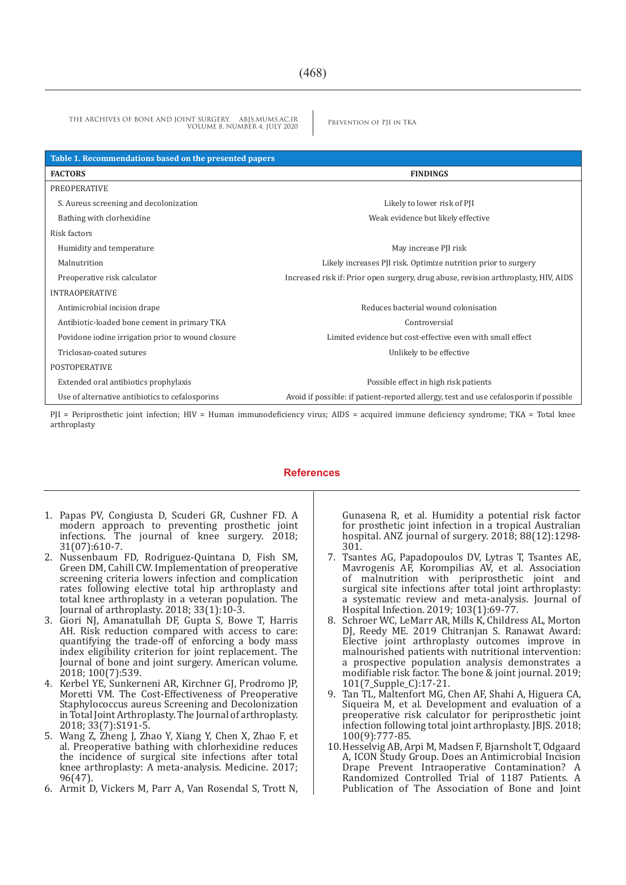THE ARCHIVES OF BONE AND JOINT SURGERY. ABJS.MUMS.AC.IR PREVENTION OF PIL IN TKA VOLUME 8. NUMBER 4. JULY 2020

| Table 1. Recommendations based on the presented papers |                                                                                       |
|--------------------------------------------------------|---------------------------------------------------------------------------------------|
| <b>FACTORS</b>                                         | <b>FINDINGS</b>                                                                       |
| PREOPERATIVE                                           |                                                                                       |
| S. Aureus screening and decolonization                 | Likely to lower risk of PII                                                           |
| Bathing with clorhexidine                              | Weak evidence but likely effective                                                    |
| Risk factors                                           |                                                                                       |
| Humidity and temperature                               | May increase PJI risk                                                                 |
| Malnutrition                                           | Likely increases PJI risk. Optimize nutrition prior to surgery                        |
| Preoperative risk calculator                           | Increased risk if: Prior open surgery, drug abuse, revision arthroplasty, HIV, AIDS   |
| <b>INTRAOPERATIVE</b>                                  |                                                                                       |
| Antimicrobial incision drape                           | Reduces bacterial wound colonisation                                                  |
| Antibiotic-loaded bone cement in primary TKA           | Controversial                                                                         |
| Povidone iodine irrigation prior to wound closure      | Limited evidence but cost-effective even with small effect                            |
| Triclosan-coated sutures                               | Unlikely to be effective                                                              |
| <b>POSTOPERATIVE</b>                                   |                                                                                       |
| Extended oral antibiotics prophylaxis                  | Possible effect in high risk patients                                                 |
| Use of alternative antibiotics to cefalosporins        | Avoid if possible: if patient-reported allergy, test and use cefalosporin if possible |

PJI = Periprosthetic joint infection; HIV = Human immunodeficiency virus; AIDS = acquired immune deficiency syndrome; TKA = Total knee arthroplasty

# **References**

- 1. Papas PV, Congiusta D, Scuderi GR, Cushner FD. A modern approach to preventing prosthetic joint infections. The journal of knee surgery. 2018; 31(07):610-7.
- 2. Nussenbaum FD, Rodriguez-Quintana D, Fish SM, Green DM, Cahill CW. Implementation of preoperative screening criteria lowers infection and complication rates following elective total hip arthroplasty and total knee arthroplasty in a veteran population. The Journal of arthroplasty. 2018; 33(1):10-3.
- 3. Giori NJ, Amanatullah DF, Gupta S, Bowe T, Harris AH. Risk reduction compared with access to care: quantifying the trade-off of enforcing a body mass index eligibility criterion for joint replacement. The Journal of bone and joint surgery. American volume. 2018; 100(7):539.
- 4. Kerbel YE, Sunkerneni AR, Kirchner GJ, Prodromo JP, Moretti VM. The Cost-Effectiveness of Preoperative Staphylococcus aureus Screening and Decolonization in Total Joint Arthroplasty. The Journal of arthroplasty. 2018; 33(7):S191-5.
- 5. Wang Z, Zheng J, Zhao Y, Xiang Y, Chen X, Zhao F, et al. Preoperative bathing with chlorhexidine reduces the incidence of surgical site infections after total knee arthroplasty: A meta-analysis. Medicine. 2017; 96(47).
- 6. Armit D, Vickers M, Parr A, Van Rosendal S, Trott N,

Gunasena R, et al. Humidity a potential risk factor for prosthetic joint infection in a tropical Australian hospital. ANZ journal of surgery. 2018; 88(12):1298- 301.

- 7. Tsantes AG, Papadopoulos DV, Lytras T, Tsantes AE, Mavrogenis AF, Korompilias AV, et al. Association of malnutrition with periprosthetic joint and surgical site infections after total joint arthroplasty: a systematic review and meta-analysis. Journal of Hospital Infection. 2019; 103(1):69-77.
- 8. Schroer WC, LeMarr AR, Mills K, Childress AL, Morton DJ, Reedy ME. 2019 Chitranjan S. Ranawat Award: Elective joint arthroplasty outcomes improve in malnourished patients with nutritional intervention: a prospective population analysis demonstrates a modifiable risk factor. The bone & joint journal. 2019; 101(7\_Supple\_C):17-21.
- 9. Tan TL, Maltenfort MG, Chen AF, Shahi A, Higuera CA, Siqueira M, et al. Development and evaluation of a preoperative risk calculator for periprosthetic joint infection following total joint arthroplasty. JBJS. 2018; 100(9):777-85.
- 10.Hesselvig AB, Arpi M, Madsen F, Bjarnsholt T, Odgaard A, ICON Study Group. Does an Antimicrobial Incision Drape Prevent Intraoperative Contamination? A Randomized Controlled Trial of 1187 Patients. A Publication of The Association of Bone and Joint